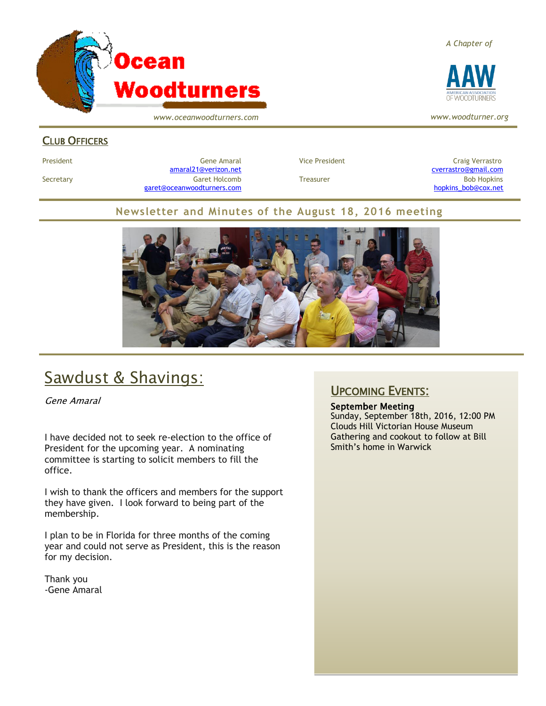

*www.oceanwoodturners.com*

#### CLUB OFFICERS

President Craig Verrastro Cene Amaral Cene Amaral Vice President Craig Verrastro Craig Verrastro [amaral21@verizon.net](mailto:amaral21@verizon.net) [cverrastro@gmail.com](mailto:cverrastro@gmail.com) Secretary Garet Holcomb Treasurer Bob Hopkins Bob Hopkins (Bob Hopkins Garet Holcomb [garet@oceanwoodturners.com](mailto:garet@oceanwoodturners.com) and the state of the state of the state of the state of the state of the state of the state of the state of the state of the state of the state of the state of the state of the state of the state

#### **Newsletter and Minutes of the August 18, 2016 meeting**



### Sawdust & Shavings:

Gene Amaral

I have decided not to seek re-election to the office of President for the upcoming year. A nominating committee is starting to solicit members to fill the office.

I wish to thank the officers and members for the support they have given. I look forward to being part of the membership.

I plan to be in Florida for three months of the coming year and could not serve as President, this is the reason for my decision.

Thank you -Gene Amaral

#### UPCOMING EVENTS:

September Meeting Sunday, September 18th, 2016, 12:00 PM Clouds Hill Victorian House Museum Gathering and cookout to follow at Bill Smith's home in Warwick



*www.woodturner.org*

*A Chapter of*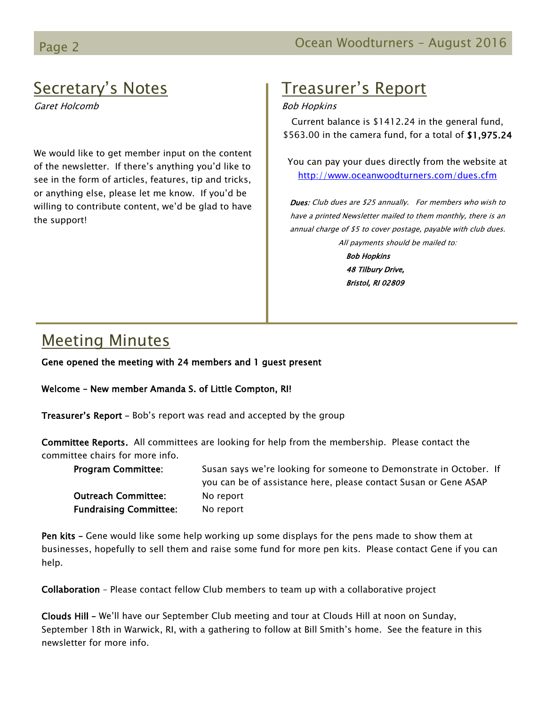### Secretary's Notes

Garet Holcomb

We would like to get member input on the content of the newsletter. If there's anything you'd like to see in the form of articles, features, tip and tricks, or anything else, please let me know. If you'd be willing to contribute content, we'd be glad to have the support!

### Treasurer's Report

#### Bob Hopkins

Current balance is \$1412.24 in the general fund, \$563.00 in the camera fund, for a total of \$1,975.24

You can pay your dues directly from the website at <http://www.oceanwoodturners.com/dues.cfm>

Dues: Club dues are \$25 annually. For members who wish to have a printed Newsletter mailed to them monthly, there is an annual charge of \$5 to cover postage, payable with club dues. All payments should be mailed to:

> Bob Hopkins 48 Tilbury Drive, Bristol, RI 02809

### Meeting Minutes

Gene opened the meeting with 24 members and 1 guest present

Welcome – New member Amanda S. of Little Compton, RI!

Treasurer's Report - Bob's report was read and accepted by the group

Committee Reports. All committees are looking for help from the membership. Please contact the committee chairs for more info.

| <b>Program Committee:</b>     | Susan says we're looking for someone to Demonstrate in October. If |
|-------------------------------|--------------------------------------------------------------------|
|                               | you can be of assistance here, please contact Susan or Gene ASAP   |
| <b>Outreach Committee:</b>    | No report                                                          |
| <b>Fundraising Committee:</b> | No report                                                          |

Pen kits – Gene would like some help working up some displays for the pens made to show them at businesses, hopefully to sell them and raise some fund for more pen kits. Please contact Gene if you can help.

Collaboration – Please contact fellow Club members to team up with a collaborative project

Clouds Hill – We'll have our September Club meeting and tour at Clouds Hill at noon on Sunday, September 18th in Warwick, RI, with a gathering to follow at Bill Smith's home. See the feature in this newsletter for more info.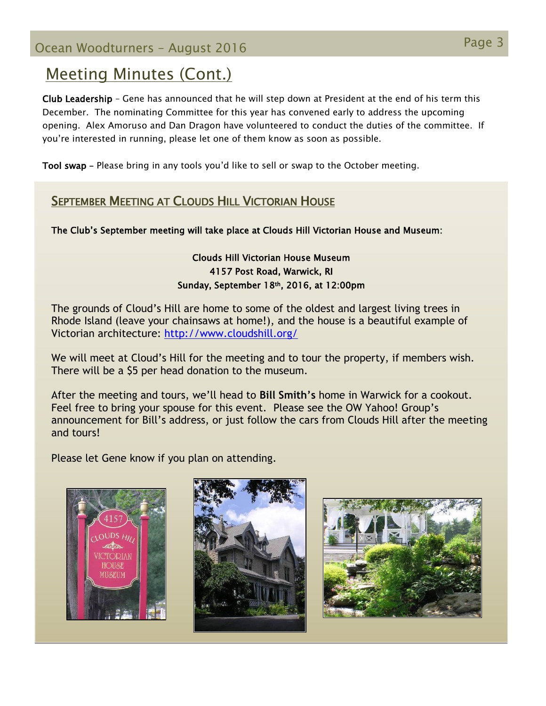### Meeting Minutes (Cont.)

Club Leadership – Gene has announced that he will step down at President at the end of his term this December. The nominating Committee for this year has convened early to address the upcoming opening. Alex Amoruso and Dan Dragon have volunteered to conduct the duties of the committee. If you're interested in running, please let one of them know as soon as possible.

Tool swap – Please bring in any tools you'd like to sell or swap to the October meeting.

### SEPTEMBER MEETING AT CLOUDS HILL VICTORIAN HOUSE

The Club's September meeting will take place at Clouds Hill Victorian House and Museum:

#### Clouds Hill Victorian House Museum 4157 Post Road, Warwick, RI Sunday, September 18th, 2016, at 12:00pm

The grounds of Cloud's Hill are home to some of the oldest and largest living trees in Rhode Island (leave your chainsaws at home!), and the house is a beautiful example of Victorian architecture:<http://www.cloudshill.org/>

We will meet at Cloud's Hill for the meeting and to tour the property, if members wish. There will be a \$5 per head donation to the museum.

After the meeting and tours, we'll head to **Bill Smith's** home in Warwick for a cookout. Feel free to bring your spouse for this event. Please see the OW Yahoo! Group's announcement for Bill's address, or just follow the cars from Clouds Hill after the meeting and tours!

Please let Gene know if you plan on attending.





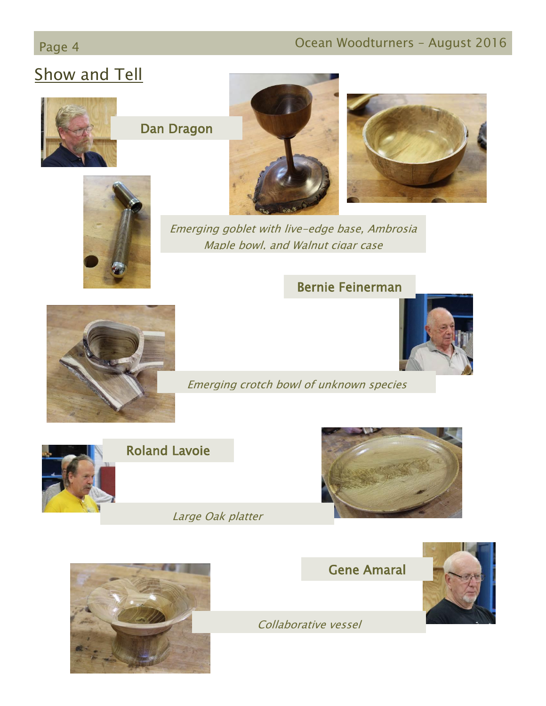### Page 4 **Ocean Woodturners – August 2016**

### Show and Tell



Dan Dragon







Emerging goblet with live-edge base, Ambrosia Maple bowl, and Walnut cigar case

### Bernie Feinerman



Emerging crotch bowl of unknown species



Roland Lavoie

Large Oak platter









Collaborative vessel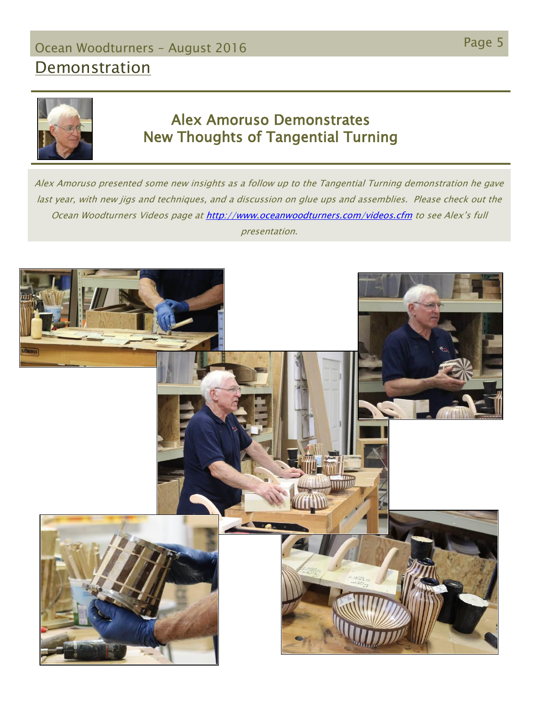# Page 5 Ocean Woodturners – August <sup>2016</sup>

## **Demonstration**



### Alex Amoruso Demonstrates New Thoughts of Tangential Turning

Alex Amoruso presented some new insights as a follow up to the Tangential Turning demonstration he gave last year, with new jigs and techniques, and a discussion on glue ups and assemblies. Please check out the Ocean Woodturners Videos page a[t http://www.oceanwoodturners.com/videos.cfm](http://www.oceanwoodturners.com/videos.cfm) to see Alex's full presentation.